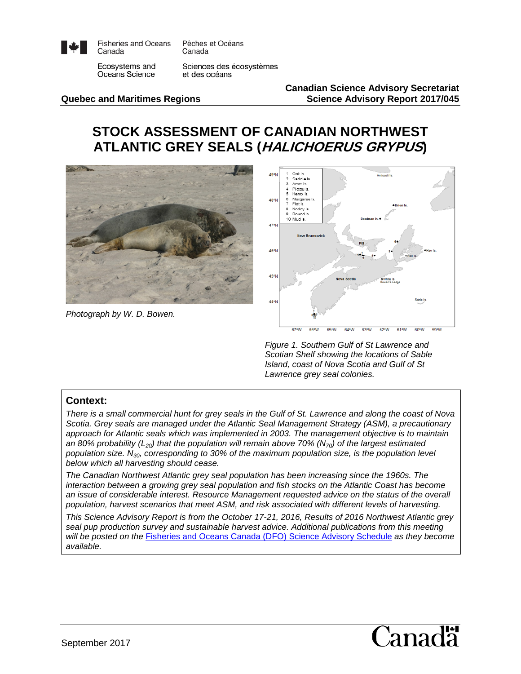

**Fisheries and Oceans** Canada

Pêches et Océans Canada

Ecosystems and Oceans Science

Sciences des écosystèmes et des océans

**Canadian Science Advisory Secretariat Quebec and Maritimes Regions Science Advisory Report 2017/045**

# **STOCK ASSESSMENT OF CANADIAN NORTHWEST ATLANTIC GREY SEALS (HALICHOERUS GRYPUS)**



*Photograph by W. D. Bowen.* 



*Figure 1. Southern Gulf of St Lawrence and Scotian Shelf showing the locations of Sable Island, coast of Nova Scotia and Gulf of St Lawrence grey seal colonies.*

#### **Context:**

*There is a small commercial hunt for grey seals in the Gulf of St. Lawrence and along the coast of Nova Scotia. Grey seals are managed under the Atlantic Seal Management Strategy (ASM), a precautionary approach for Atlantic seals which was implemented in 2003. The management objective is to maintain*  an 80% probability ( $L_{20}$ ) that the population will remain above 70% ( $N_{70}$ ) of the largest estimated *population size. N30, corresponding to 30% of the maximum population size, is the population level below which all harvesting should cease.* 

*The Canadian Northwest Atlantic grey seal population has been increasing since the 1960s. The interaction between a growing grey seal population and fish stocks on the Atlantic Coast has become an issue of considerable interest. Resource Management requested advice on the status of the overall population, harvest scenarios that meet ASM, and risk associated with different levels of harvesting.*

*This Science Advisory Report is from the October 17-21, 2016, Results of 2016 Northwest Atlantic grey seal pup production survey and sustainable harvest advice. Additional publications from this meeting will be posted on the* [Fisheries and Oceans Canada \(DFO\) Science Advisory Schedule](http://www.isdm-gdsi.gc.ca/csas-sccs/applications/events-evenements/index-eng.asp) *as they become available.*

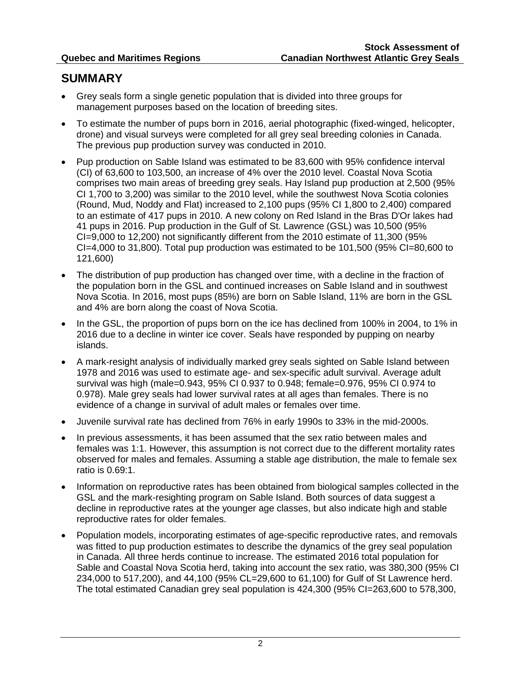## **SUMMARY**

- Grey seals form a single genetic population that is divided into three groups for management purposes based on the location of breeding sites.
- To estimate the number of pups born in 2016, aerial photographic (fixed-winged, helicopter, drone) and visual surveys were completed for all grey seal breeding colonies in Canada. The previous pup production survey was conducted in 2010.
- Pup production on Sable Island was estimated to be 83,600 with 95% confidence interval (CI) of 63,600 to 103,500, an increase of 4% over the 2010 level. Coastal Nova Scotia comprises two main areas of breeding grey seals. Hay Island pup production at 2,500 (95% CI 1,700 to 3,200) was similar to the 2010 level, while the southwest Nova Scotia colonies (Round, Mud, Noddy and Flat) increased to 2,100 pups (95% CI 1,800 to 2,400) compared to an estimate of 417 pups in 2010. A new colony on Red Island in the Bras D'Or lakes had 41 pups in 2016. Pup production in the Gulf of St. Lawrence (GSL) was 10,500 (95% CI=9,000 to 12,200) not significantly different from the 2010 estimate of 11,300 (95% CI=4,000 to 31,800). Total pup production was estimated to be 101,500 (95% CI=80,600 to 121,600)
- The distribution of pup production has changed over time, with a decline in the fraction of the population born in the GSL and continued increases on Sable Island and in southwest Nova Scotia. In 2016, most pups (85%) are born on Sable Island, 11% are born in the GSL and 4% are born along the coast of Nova Scotia.
- In the GSL, the proportion of pups born on the ice has declined from 100% in 2004, to 1% in 2016 due to a decline in winter ice cover. Seals have responded by pupping on nearby islands.
- A mark-resight analysis of individually marked grey seals sighted on Sable Island between 1978 and 2016 was used to estimate age- and sex-specific adult survival. Average adult survival was high (male=0.943, 95% CI 0.937 to 0.948; female=0.976, 95% CI 0.974 to 0.978). Male grey seals had lower survival rates at all ages than females. There is no evidence of a change in survival of adult males or females over time.
- Juvenile survival rate has declined from 76% in early 1990s to 33% in the mid-2000s.
- In previous assessments, it has been assumed that the sex ratio between males and females was 1:1. However, this assumption is not correct due to the different mortality rates observed for males and females. Assuming a stable age distribution, the male to female sex ratio is 0.69:1.
- Information on reproductive rates has been obtained from biological samples collected in the GSL and the mark-resighting program on Sable Island. Both sources of data suggest a decline in reproductive rates at the younger age classes, but also indicate high and stable reproductive rates for older females.
- Population models, incorporating estimates of age-specific reproductive rates, and removals was fitted to pup production estimates to describe the dynamics of the grey seal population in Canada. All three herds continue to increase. The estimated 2016 total population for Sable and Coastal Nova Scotia herd, taking into account the sex ratio, was 380,300 (95% CI 234,000 to 517,200), and 44,100 (95% CL=29,600 to 61,100) for Gulf of St Lawrence herd. The total estimated Canadian grey seal population is 424,300 (95% CI=263,600 to 578,300,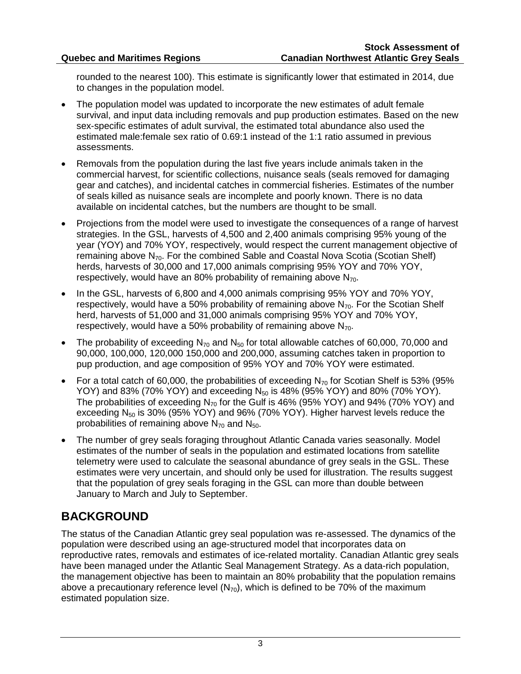rounded to the nearest 100). This estimate is significantly lower that estimated in 2014, due to changes in the population model.

- The population model was updated to incorporate the new estimates of adult female survival, and input data including removals and pup production estimates. Based on the new sex-specific estimates of adult survival, the estimated total abundance also used the estimated male:female sex ratio of 0.69:1 instead of the 1:1 ratio assumed in previous assessments.
- Removals from the population during the last five years include animals taken in the commercial harvest, for scientific collections, nuisance seals (seals removed for damaging gear and catches), and incidental catches in commercial fisheries. Estimates of the number of seals killed as nuisance seals are incomplete and poorly known. There is no data available on incidental catches, but the numbers are thought to be small.
- Projections from the model were used to investigate the consequences of a range of harvest strategies. In the GSL, harvests of 4,500 and 2,400 animals comprising 95% young of the year (YOY) and 70% YOY, respectively, would respect the current management objective of remaining above N<sub>70</sub>. For the combined Sable and Coastal Nova Scotia (Scotian Shelf) herds, harvests of 30,000 and 17,000 animals comprising 95% YOY and 70% YOY, respectively, would have an 80% probability of remaining above  $N_{70}$ .
- In the GSL, harvests of 6,800 and 4,000 animals comprising 95% YOY and 70% YOY, respectively, would have a 50% probability of remaining above  $N_{70}$ . For the Scotian Shelf herd, harvests of 51,000 and 31,000 animals comprising 95% YOY and 70% YOY, respectively, would have a 50% probability of remaining above  $N_{70}$ .
- The probability of exceeding  $N_{70}$  and  $N_{50}$  for total allowable catches of 60,000, 70,000 and 90,000, 100,000, 120,000 150,000 and 200,000, assuming catches taken in proportion to pup production, and age composition of 95% YOY and 70% YOY were estimated.
- For a total catch of 60,000, the probabilities of exceeding  $N_{70}$  for Scotian Shelf is 53% (95%) YOY) and 83% (70% YOY) and exceeding  $N_{50}$  is 48% (95% YOY) and 80% (70% YOY). The probabilities of exceeding  $N_{70}$  for the Gulf is 46% (95% YOY) and 94% (70% YOY) and exceeding  $N_{50}$  is 30% (95% YOY) and 96% (70% YOY). Higher harvest levels reduce the probabilities of remaining above  $N_{70}$  and  $N_{50}$ .
- The number of grey seals foraging throughout Atlantic Canada varies seasonally. Model estimates of the number of seals in the population and estimated locations from satellite telemetry were used to calculate the seasonal abundance of grey seals in the GSL. These estimates were very uncertain, and should only be used for illustration. The results suggest that the population of grey seals foraging in the GSL can more than double between January to March and July to September.

# **BACKGROUND**

The status of the Canadian Atlantic grey seal population was re-assessed. The dynamics of the population were described using an age-structured model that incorporates data on reproductive rates, removals and estimates of ice-related mortality. Canadian Atlantic grey seals have been managed under the Atlantic Seal Management Strategy. As a data-rich population, the management objective has been to maintain an 80% probability that the population remains above a precautionary reference level  $(N_{70})$ , which is defined to be 70% of the maximum estimated population size.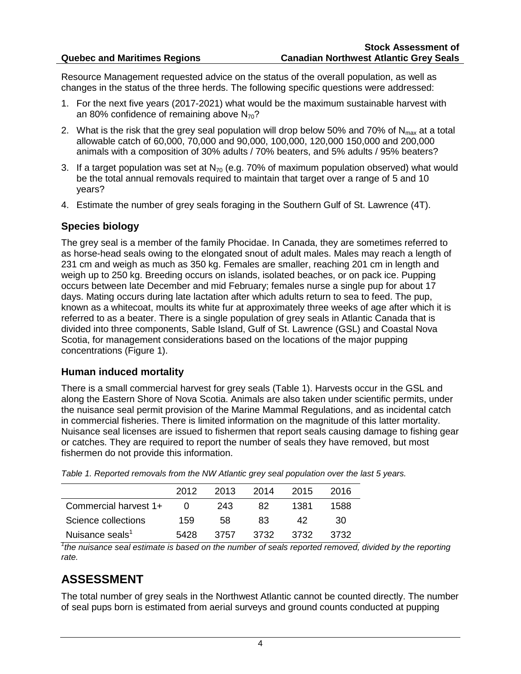Resource Management requested advice on the status of the overall population, as well as changes in the status of the three herds. The following specific questions were addressed:

- 1. For the next five years (2017-2021) what would be the maximum sustainable harvest with an 80% confidence of remaining above  $N_{70}$ ?
- 2. What is the risk that the grey seal population will drop below 50% and 70% of  $N_{\text{max}}$  at a total allowable catch of 60,000, 70,000 and 90,000, 100,000, 120,000 150,000 and 200,000 animals with a composition of 30% adults / 70% beaters, and 5% adults / 95% beaters?
- 3. If a target population was set at  $N_{70}$  (e.g. 70% of maximum population observed) what would be the total annual removals required to maintain that target over a range of 5 and 10 years?
- 4. Estimate the number of grey seals foraging in the Southern Gulf of St. Lawrence (4T).

#### **Species biology**

The grey seal is a member of the family Phocidae. In Canada, they are sometimes referred to as horse-head seals owing to the elongated snout of adult males. Males may reach a length of 231 cm and weigh as much as 350 kg. Females are smaller, reaching 201 cm in length and weigh up to 250 kg. Breeding occurs on islands, isolated beaches, or on pack ice. Pupping occurs between late December and mid February; females nurse a single pup for about 17 days. Mating occurs during late lactation after which adults return to sea to feed. The pup, known as a whitecoat, moults its white fur at approximately three weeks of age after which it is referred to as a beater. There is a single population of grey seals in Atlantic Canada that is divided into three components, Sable Island, Gulf of St. Lawrence (GSL) and Coastal Nova Scotia, for management considerations based on the locations of the major pupping concentrations (Figure 1).

#### **Human induced mortality**

There is a small commercial harvest for grey seals (Table 1). Harvests occur in the GSL and along the Eastern Shore of Nova Scotia. Animals are also taken under scientific permits, under the nuisance seal permit provision of the Marine Mammal Regulations, and as incidental catch in commercial fisheries. There is limited information on the magnitude of this latter mortality. Nuisance seal licenses are issued to fishermen that report seals causing damage to fishing gear or catches. They are required to report the number of seals they have removed, but most fishermen do not provide this information.

|                             | 2012              | 2013 | 2014 | 2015 | 2016 |
|-----------------------------|-------------------|------|------|------|------|
| Commercial harvest 1+       | $\mathbf{\Omega}$ | 243  | 82   | 1381 | 1588 |
| Science collections         | 159               | 58   | 83   | 42   | 30   |
| Nuisance seals <sup>1</sup> | 5428              | 3757 | 3732 | 3732 | 3732 |

*Table 1. Reported removals from the NW Atlantic grey seal population over the last 5 years.* 

<sup>1</sup>the nuisance seal estimate is based on the number of seals reported removed, divided by the reporting *rate.*

## **ASSESSMENT**

The total number of grey seals in the Northwest Atlantic cannot be counted directly. The number of seal pups born is estimated from aerial surveys and ground counts conducted at pupping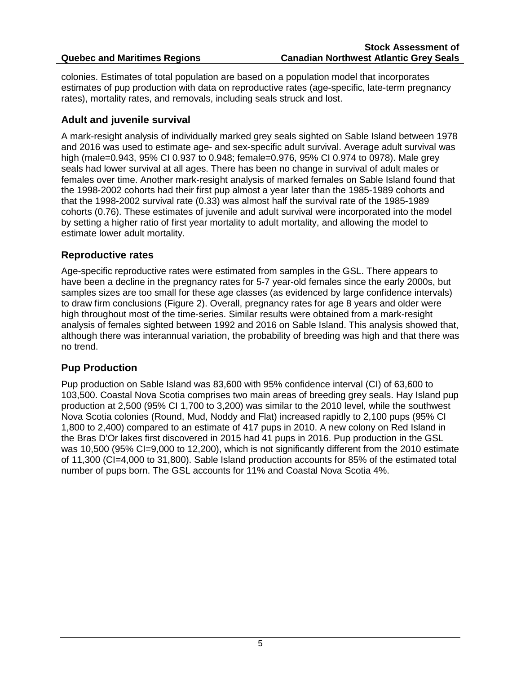colonies. Estimates of total population are based on a population model that incorporates estimates of pup production with data on reproductive rates (age-specific, late-term pregnancy rates), mortality rates, and removals, including seals struck and lost.

#### **Adult and juvenile survival**

A mark-resight analysis of individually marked grey seals sighted on Sable Island between 1978 and 2016 was used to estimate age- and sex-specific adult survival. Average adult survival was high (male=0.943, 95% CI 0.937 to 0.948; female=0.976, 95% CI 0.974 to 0978). Male grey seals had lower survival at all ages. There has been no change in survival of adult males or females over time. Another mark‐resight analysis of marked females on Sable Island found that the 1998-2002 cohorts had their first pup almost a year later than the 1985-1989 cohorts and that the 1998-2002 survival rate (0.33) was almost half the survival rate of the 1985-1989 cohorts (0.76). These estimates of juvenile and adult survival were incorporated into the model by setting a higher ratio of first year mortality to adult mortality, and allowing the model to estimate lower adult mortality.

#### **Reproductive rates**

Age-specific reproductive rates were estimated from samples in the GSL. There appears to have been a decline in the pregnancy rates for 5-7 year-old females since the early 2000s, but samples sizes are too small for these age classes (as evidenced by large confidence intervals) to draw firm conclusions (Figure 2). Overall, pregnancy rates for age 8 years and older were high throughout most of the time-series. Similar results were obtained from a mark-resight analysis of females sighted between 1992 and 2016 on Sable Island. This analysis showed that, although there was interannual variation, the probability of breeding was high and that there was no trend.

### **Pup Production**

Pup production on Sable Island was 83,600 with 95% confidence interval (CI) of 63,600 to 103,500. Coastal Nova Scotia comprises two main areas of breeding grey seals. Hay Island pup production at 2,500 (95% CI 1,700 to 3,200) was similar to the 2010 level, while the southwest Nova Scotia colonies (Round, Mud, Noddy and Flat) increased rapidly to 2,100 pups (95% CI 1,800 to 2,400) compared to an estimate of 417 pups in 2010. A new colony on Red Island in the Bras D'Or lakes first discovered in 2015 had 41 pups in 2016. Pup production in the GSL was 10,500 (95% CI=9,000 to 12,200), which is not significantly different from the 2010 estimate of 11,300 (CI=4,000 to 31,800). Sable Island production accounts for 85% of the estimated total number of pups born. The GSL accounts for 11% and Coastal Nova Scotia 4%.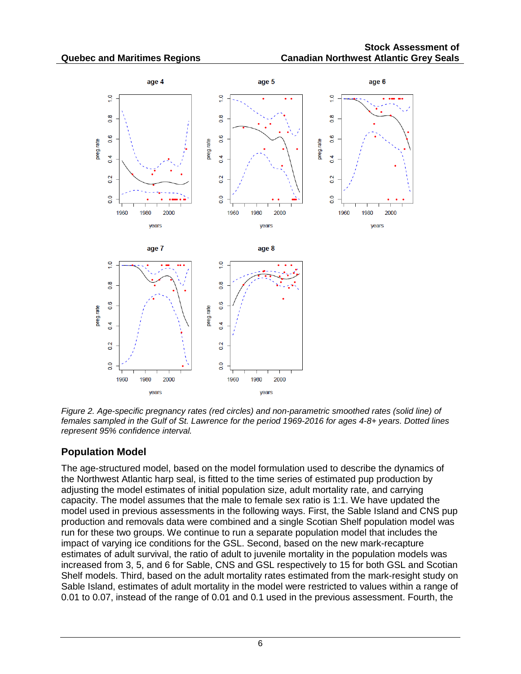

*Figure 2. Age-specific pregnancy rates (red circles) and non-parametric smoothed rates (solid line) of females sampled in the Gulf of St. Lawrence for the period 1969-2016 for ages 4-8+ years. Dotted lines represent 95% confidence interval.*

## **Population Model**

The age-structured model, based on the model formulation used to describe the dynamics of the Northwest Atlantic harp seal, is fitted to the time series of estimated pup production by adjusting the model estimates of initial population size, adult mortality rate, and carrying capacity. The model assumes that the male to female sex ratio is 1:1. We have updated the model used in previous assessments in the following ways. First, the Sable Island and CNS pup production and removals data were combined and a single Scotian Shelf population model was run for these two groups. We continue to run a separate population model that includes the impact of varying ice conditions for the GSL. Second, based on the new mark-recapture estimates of adult survival, the ratio of adult to juvenile mortality in the population models was increased from 3, 5, and 6 for Sable, CNS and GSL respectively to 15 for both GSL and Scotian Shelf models. Third, based on the adult mortality rates estimated from the mark-resight study on Sable Island, estimates of adult mortality in the model were restricted to values within a range of 0.01 to 0.07, instead of the range of 0.01 and 0.1 used in the previous assessment. Fourth, the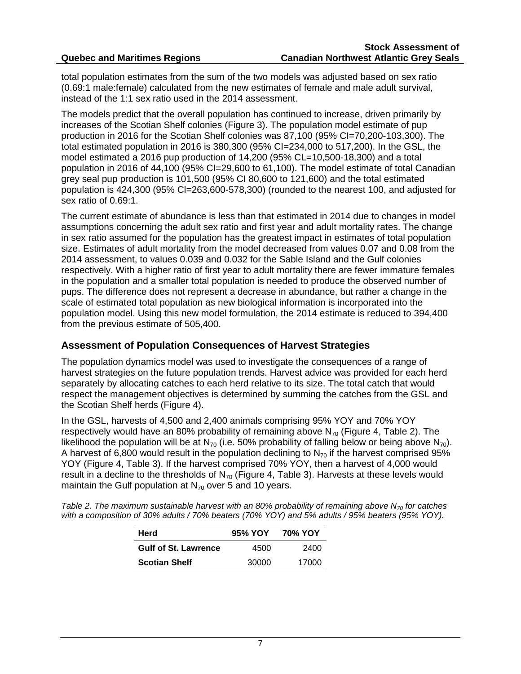total population estimates from the sum of the two models was adjusted based on sex ratio (0.69:1 male:female) calculated from the new estimates of female and male adult survival, instead of the 1:1 sex ratio used in the 2014 assessment.

The models predict that the overall population has continued to increase, driven primarily by increases of the Scotian Shelf colonies (Figure 3). The population model estimate of pup production in 2016 for the Scotian Shelf colonies was 87,100 (95% CI=70,200-103,300). The total estimated population in 2016 is 380,300 (95% CI=234,000 to 517,200). In the GSL, the model estimated a 2016 pup production of 14,200 (95% CL=10,500-18,300) and a total population in 2016 of 44,100 (95% CI=29,600 to 61,100). The model estimate of total Canadian grey seal pup production is 101,500 (95% CI 80,600 to 121,600) and the total estimated population is 424,300 (95% Cl=263,600-578,300) (rounded to the nearest 100, and adjusted for sex ratio of 0.69:1.

The current estimate of abundance is less than that estimated in 2014 due to changes in model assumptions concerning the adult sex ratio and first year and adult mortality rates. The change in sex ratio assumed for the population has the greatest impact in estimates of total population size. Estimates of adult mortality from the model decreased from values 0.07 and 0.08 from the 2014 assessment, to values 0.039 and 0.032 for the Sable Island and the Gulf colonies respectively. With a higher ratio of first year to adult mortality there are fewer immature females in the population and a smaller total population is needed to produce the observed number of pups. The difference does not represent a decrease in abundance, but rather a change in the scale of estimated total population as new biological information is incorporated into the population model. Using this new model formulation, the 2014 estimate is reduced to 394,400 from the previous estimate of 505,400.

#### **Assessment of Population Consequences of Harvest Strategies**

The population dynamics model was used to investigate the consequences of a range of harvest strategies on the future population trends. Harvest advice was provided for each herd separately by allocating catches to each herd relative to its size. The total catch that would respect the management objectives is determined by summing the catches from the GSL and the Scotian Shelf herds (Figure 4).

In the GSL, harvests of 4,500 and 2,400 animals comprising 95% YOY and 70% YOY respectively would have an 80% probability of remaining above  $N_{70}$  (Figure 4, Table 2). The likelihood the population will be at  $N_{70}$  (i.e. 50% probability of falling below or being above  $N_{70}$ ). A harvest of 6,800 would result in the population declining to  $N_{70}$  if the harvest comprised 95% YOY (Figure 4, Table 3). If the harvest comprised 70% YOY, then a harvest of 4,000 would result in a decline to the thresholds of  $N_{70}$  (Figure 4, Table 3). Harvests at these levels would maintain the Gulf population at  $N_{70}$  over 5 and 10 years.

*Table 2. The maximum sustainable harvest with an 80% probability of remaining above N70 for catches with a composition of 30% adults / 70% beaters (70% YOY) and 5% adults / 95% beaters (95% YOY).*

| Herd                        | 95% YOY | 70% YOY |
|-----------------------------|---------|---------|
| <b>Gulf of St. Lawrence</b> | 4500    | 2400    |
| <b>Scotian Shelf</b>        | 30000   | 17000   |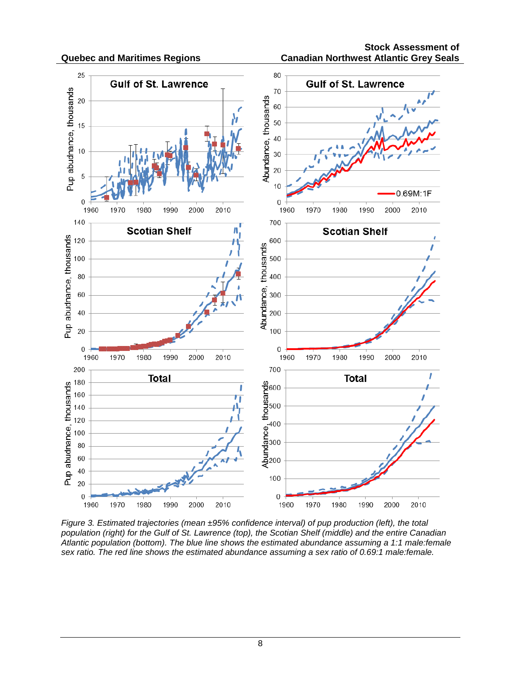

*Figure 3. Estimated trajectories (mean ±95% confidence interval) of pup production (left), the total population (right) for the Gulf of St. Lawrence (top), the Scotian Shelf (middle) and the entire Canadian Atlantic population (bottom). The blue line shows the estimated abundance assuming a 1:1 male:female sex ratio. The red line shows the estimated abundance assuming a sex ratio of 0.69:1 male:female.*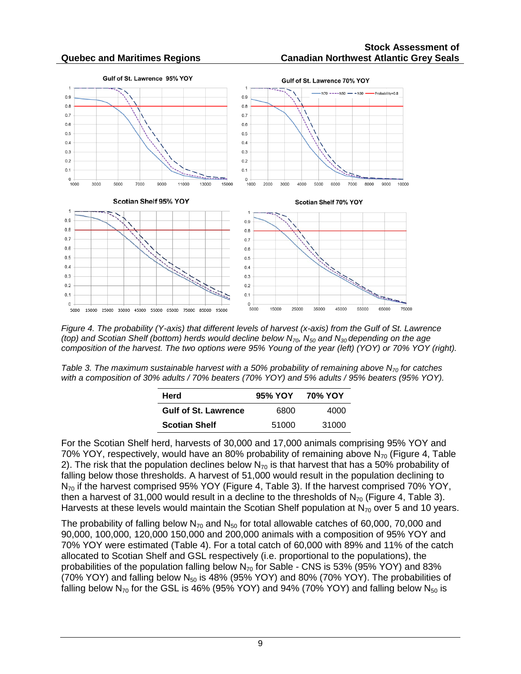

*Figure 4. The probability (Y-axis) that different levels of harvest (x-axis) from the Gulf of St. Lawrence (top) and Scotian Shelf (bottom) herds would decline below N70, N50 and N30 depending on the age composition of the harvest. The two options were 95% Young of the year (left) (YOY) or 70% YOY (right).*

*Table 3. The maximum sustainable harvest with a 50% probability of remaining above N70 for catches with a composition of 30% adults / 70% beaters (70% YOY) and 5% adults / 95% beaters (95% YOY).* 

| <b>Herd</b>                 | 95% YOY | 70% YOY |
|-----------------------------|---------|---------|
| <b>Gulf of St. Lawrence</b> | 6800    | 4000    |
| <b>Scotian Shelf</b>        | 51000   | 31000   |

For the Scotian Shelf herd, harvests of 30,000 and 17,000 animals comprising 95% YOY and 70% YOY, respectively, would have an 80% probability of remaining above  $N_{70}$  (Figure 4, Table 2). The risk that the population declines below  $N_{70}$  is that harvest that has a 50% probability of falling below those thresholds. A harvest of 51,000 would result in the population declining to N<sub>70</sub> if the harvest comprised 95% YOY (Figure 4, Table 3). If the harvest comprised 70% YOY, then a harvest of 31,000 would result in a decline to the thresholds of  $N_{70}$  (Figure 4, Table 3). Harvests at these levels would maintain the Scotian Shelf population at  $N_{70}$  over 5 and 10 years.

The probability of falling below  $N_{70}$  and  $N_{50}$  for total allowable catches of 60,000, 70,000 and 90,000, 100,000, 120,000 150,000 and 200,000 animals with a composition of 95% YOY and 70% YOY were estimated (Table 4). For a total catch of 60,000 with 89% and 11% of the catch allocated to Scotian Shelf and GSL respectively (i.e. proportional to the populations), the probabilities of the population falling below  $N_{70}$  for Sable - CNS is 53% (95% YOY) and 83% (70% YOY) and falling below  $N_{50}$  is 48% (95% YOY) and 80% (70% YOY). The probabilities of falling below  $N_{70}$  for the GSL is 46% (95% YOY) and 94% (70% YOY) and falling below  $N_{50}$  is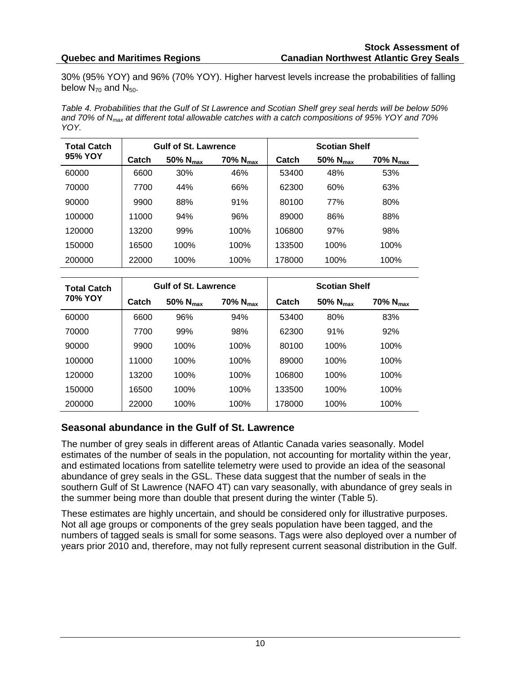30% (95% YOY) and 96% (70% YOY). Higher harvest levels increase the probabilities of falling below  $N_{70}$  and  $N_{50}$ .

*Table 4. Probabilities that the Gulf of St Lawrence and Scotian Shelf grey seal herds will be below 50% and 70% of Nmax at different total allowable catches with a catch compositions of 95% YOY and 70% YOY.* 

| Total Catch    | <b>Gulf of St. Lawrence</b> |               |               | <b>Scotian Shelf</b> |               |               |
|----------------|-----------------------------|---------------|---------------|----------------------|---------------|---------------|
| <b>95% YOY</b> | Catch                       | 50% $N_{max}$ | 70% $N_{max}$ | Catch                | 50% $N_{max}$ | 70% $N_{max}$ |
| 60000          | 6600                        | 30%           | 46%           | 53400                | 48%           | 53%           |
| 70000          | 7700                        | 44%           | 66%           | 62300                | 60%           | 63%           |
| 90000          | 9900                        | 88%           | 91%           | 80100                | 77%           | 80%           |
| 100000         | 11000                       | 94%           | 96%           | 89000                | 86%           | 88%           |
| 120000         | 13200                       | 99%           | 100%          | 106800               | 97%           | 98%           |
| 150000         | 16500                       | 100%          | 100%          | 133500               | 100%          | 100%          |
| 200000         | 22000                       | 100%          | 100%          | 178000               | 100%          | 100%          |

| <b>Total Catch</b> | <b>Gulf of St. Lawrence</b> |               |               | <b>Scotian Shelf</b> |               |               |
|--------------------|-----------------------------|---------------|---------------|----------------------|---------------|---------------|
| 70% YOY            | Catch                       | 50% $N_{max}$ | 70% $N_{max}$ | Catch                | 50% $N_{max}$ | 70% $N_{max}$ |
| 60000              | 6600                        | 96%           | 94%           | 53400                | 80%           | 83%           |
| 70000              | 7700                        | 99%           | 98%           | 62300                | 91%           | 92%           |
| 90000              | 9900                        | 100%          | 100%          | 80100                | 100%          | 100%          |
| 100000             | 11000                       | 100%          | 100%          | 89000                | 100%          | 100%          |
| 120000             | 13200                       | 100%          | 100%          | 106800               | 100%          | 100%          |
| 150000             | 16500                       | 100%          | 100%          | 133500               | 100%          | 100%          |
| 200000             | 22000                       | 100%          | 100%          | 178000               | 100%          | 100%          |

### **Seasonal abundance in the Gulf of St. Lawrence**

The number of grey seals in different areas of Atlantic Canada varies seasonally. Model estimates of the number of seals in the population, not accounting for mortality within the year, and estimated locations from satellite telemetry were used to provide an idea of the seasonal abundance of grey seals in the GSL. These data suggest that the number of seals in the southern Gulf of St Lawrence (NAFO 4T) can vary seasonally, with abundance of grey seals in the summer being more than double that present during the winter (Table 5).

These estimates are highly uncertain, and should be considered only for illustrative purposes. Not all age groups or components of the grey seals population have been tagged, and the numbers of tagged seals is small for some seasons. Tags were also deployed over a number of years prior 2010 and, therefore, may not fully represent current seasonal distribution in the Gulf.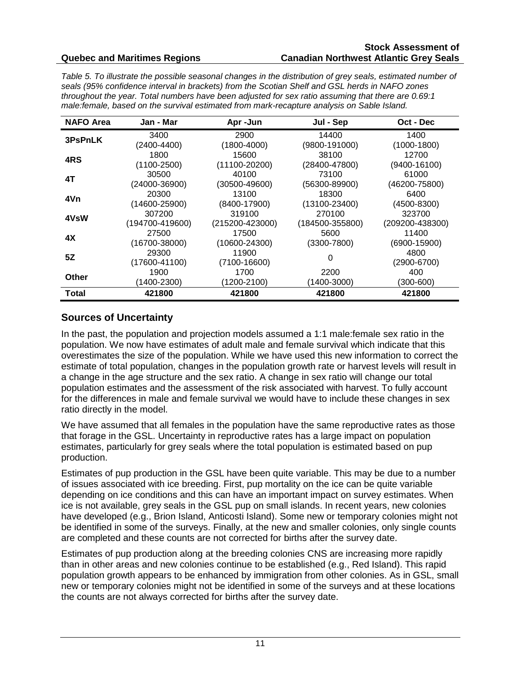#### **Stock Assessment of Canadian Northwest Atlantic Grey Seals**

*Table 5. To illustrate the possible seasonal changes in the distribution of grey seals, estimated number of seals (95% confidence interval in brackets) from the Scotian Shelf and GSL herds in NAFO zones throughout the year. Total numbers have been adjusted for sex ratio assuming that there are 0.69:1 male:female, based on the survival estimated from mark-recapture analysis on Sable Island.*

| <b>NAFO Area</b> | Jan - Mar         | Apr-Jun             | Jul - Sep         | Oct - Dec        |
|------------------|-------------------|---------------------|-------------------|------------------|
| 3PsPnLK          | 3400              | 2900                | 14400             | 1400             |
|                  | $(2400 - 4400)$   | (1800-4000)         | (9800-191000)     | $(1000-1800)$    |
| 4RS              | 1800              | 15600               | 38100             | 12700            |
|                  | $(1100 - 2500)$   | $(11100 - 20200)$   | $(28400 - 47800)$ | $(9400 - 16100)$ |
| 4T               | 30500             | 40100               | 73100             | 61000            |
|                  | (24000-36900)     | $(30500 - 49600)$   | (56300-89900)     | (46200-75800)    |
| 4Vn              | 20300             | 13100               | 18300             | 6400             |
|                  | $(14600 - 25900)$ | $(8400-17900)$      | $(13100 - 23400)$ | $(4500 - 8300)$  |
| 4VsW             | 307200            | 319100              | 270100            | 323700           |
|                  | (194700-419600)   | $(215200 - 423000)$ | (184500-355800)   | (209200-438300)  |
| 4Х               | 27500             | 17500               | 5600              | 11400            |
|                  | $(16700 - 38000)$ | $(10600 - 24300)$   | $(3300 - 7800)$   | $(6900-15900)$   |
| 5Z               | 29300             | 11900               | 0                 | 4800             |
|                  | (17600-41100)     | $(7100-16600)$      |                   | (2900-6700)      |
| Other            | 1900              | 1700                | 2200              | 400              |
|                  | (1400-2300)       | (1200-2100)         | 1400-3000)        | (300-600)        |
| Total            | 421800            | 421800              | 421800            | 421800           |

#### **Sources of Uncertainty**

In the past, the population and projection models assumed a 1:1 male:female sex ratio in the population. We now have estimates of adult male and female survival which indicate that this overestimates the size of the population. While we have used this new information to correct the estimate of total population, changes in the population growth rate or harvest levels will result in a change in the age structure and the sex ratio. A change in sex ratio will change our total population estimates and the assessment of the risk associated with harvest. To fully account for the differences in male and female survival we would have to include these changes in sex ratio directly in the model.

We have assumed that all females in the population have the same reproductive rates as those that forage in the GSL. Uncertainty in reproductive rates has a large impact on population estimates, particularly for grey seals where the total population is estimated based on pup production.

Estimates of pup production in the GSL have been quite variable. This may be due to a number of issues associated with ice breeding. First, pup mortality on the ice can be quite variable depending on ice conditions and this can have an important impact on survey estimates. When ice is not available, grey seals in the GSL pup on small islands. In recent years, new colonies have developed (e.g., Brion Island, Anticosti Island). Some new or temporary colonies might not be identified in some of the surveys. Finally, at the new and smaller colonies, only single counts are completed and these counts are not corrected for births after the survey date.

Estimates of pup production along at the breeding colonies CNS are increasing more rapidly than in other areas and new colonies continue to be established (e.g., Red Island). This rapid population growth appears to be enhanced by immigration from other colonies. As in GSL, small new or temporary colonies might not be identified in some of the surveys and at these locations the counts are not always corrected for births after the survey date.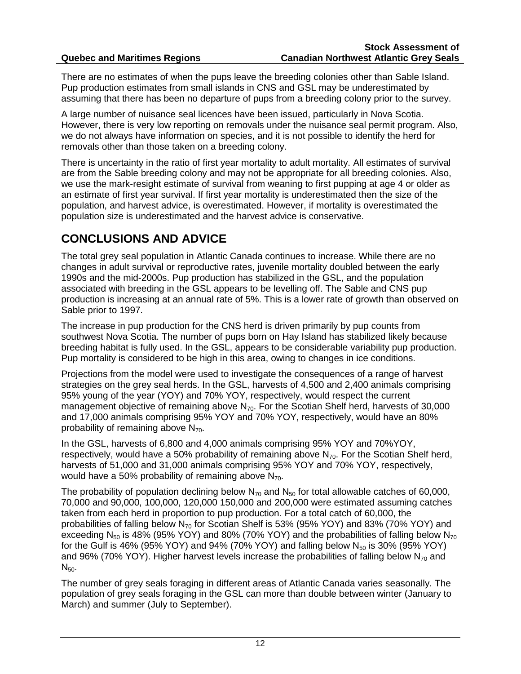There are no estimates of when the pups leave the breeding colonies other than Sable Island. Pup production estimates from small islands in CNS and GSL may be underestimated by assuming that there has been no departure of pups from a breeding colony prior to the survey.

A large number of nuisance seal licences have been issued, particularly in Nova Scotia. However, there is very low reporting on removals under the nuisance seal permit program. Also, we do not always have information on species, and it is not possible to identify the herd for removals other than those taken on a breeding colony.

There is uncertainty in the ratio of first year mortality to adult mortality. All estimates of survival are from the Sable breeding colony and may not be appropriate for all breeding colonies. Also, we use the mark-resight estimate of survival from weaning to first pupping at age 4 or older as an estimate of first year survival. If first year mortality is underestimated then the size of the population, and harvest advice, is overestimated. However, if mortality is overestimated the population size is underestimated and the harvest advice is conservative.

# **CONCLUSIONS AND ADVICE**

The total grey seal population in Atlantic Canada continues to increase. While there are no changes in adult survival or reproductive rates, juvenile mortality doubled between the early 1990s and the mid-2000s. Pup production has stabilized in the GSL, and the population associated with breeding in the GSL appears to be levelling off. The Sable and CNS pup production is increasing at an annual rate of 5%. This is a lower rate of growth than observed on Sable prior to 1997.

The increase in pup production for the CNS herd is driven primarily by pup counts from southwest Nova Scotia. The number of pups born on Hay Island has stabilized likely because breeding habitat is fully used. In the GSL, appears to be considerable variability pup production. Pup mortality is considered to be high in this area, owing to changes in ice conditions.

Projections from the model were used to investigate the consequences of a range of harvest strategies on the grey seal herds. In the GSL, harvests of 4,500 and 2,400 animals comprising 95% young of the year (YOY) and 70% YOY, respectively, would respect the current management objective of remaining above  $N_{70}$ . For the Scotian Shelf herd, harvests of 30,000 and 17,000 animals comprising 95% YOY and 70% YOY, respectively, would have an 80% probability of remaining above  $N_{70}$ .

In the GSL, harvests of 6,800 and 4,000 animals comprising 95% YOY and 70%YOY, respectively, would have a 50% probability of remaining above  $N_{70}$ . For the Scotian Shelf herd, harvests of 51,000 and 31,000 animals comprising 95% YOY and 70% YOY, respectively, would have a 50% probability of remaining above  $N_{70}$ .

The probability of population declining below  $N_{70}$  and  $N_{50}$  for total allowable catches of 60,000, 70,000 and 90,000, 100,000, 120,000 150,000 and 200,000 were estimated assuming catches taken from each herd in proportion to pup production. For a total catch of 60,000, the probabilities of falling below  $N_{70}$  for Scotian Shelf is 53% (95% YOY) and 83% (70% YOY) and exceeding  $N_{50}$  is 48% (95% YOY) and 80% (70% YOY) and the probabilities of falling below  $N_{70}$ for the Gulf is 46% (95% YOY) and 94% (70% YOY) and falling below  $N_{50}$  is 30% (95% YOY) and 96% (70% YOY). Higher harvest levels increase the probabilities of falling below  $N_{70}$  and  $N_{50}$ .

The number of grey seals foraging in different areas of Atlantic Canada varies seasonally. The population of grey seals foraging in the GSL can more than double between winter (January to March) and summer (July to September).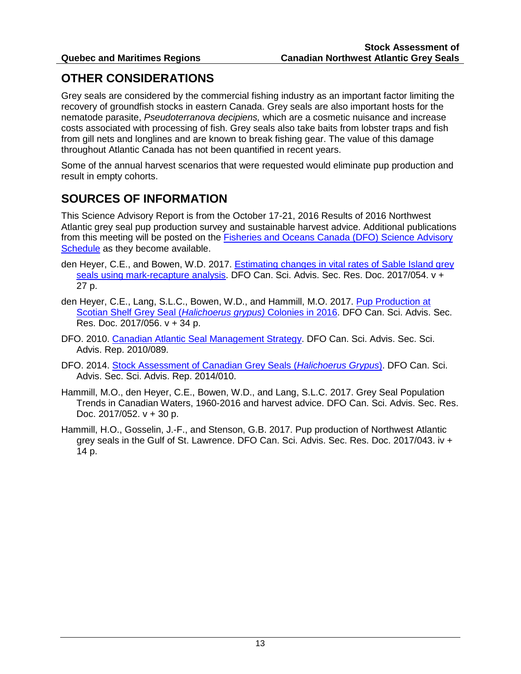# **OTHER CONSIDERATIONS**

Grey seals are considered by the commercial fishing industry as an important factor limiting the recovery of groundfish stocks in eastern Canada. Grey seals are also important hosts for the nematode parasite, *Pseudoterranova decipiens,* which are a cosmetic nuisance and increase costs associated with processing of fish. Grey seals also take baits from lobster traps and fish from gill nets and longlines and are known to break fishing gear. The value of this damage throughout Atlantic Canada has not been quantified in recent years.

Some of the annual harvest scenarios that were requested would eliminate pup production and result in empty cohorts.

## **SOURCES OF INFORMATION**

This Science Advisory Report is from the October 17-21, 2016 Results of 2016 Northwest Atlantic grey seal pup production survey and sustainable harvest advice. Additional publications from this meeting will be posted on the [Fisheries and Oceans Canada \(DFO\) Science Advisory](http://www.isdm-gdsi.gc.ca/csas-sccs/applications/events-evenements/index-eng.asp)  [Schedule](http://www.isdm-gdsi.gc.ca/csas-sccs/applications/events-evenements/index-eng.asp) as they become available.

- den Heyer, C.E., and Bowen, W.D. 2017. [Estimating changes in vital rates of Sable Island grey](http://www.dfo-mpo.gc.ca/csas-sccs/Publications/ResDocs-DocRech/2017/2017_054-eng.html)  seals [using mark-recapture analysis.](http://www.dfo-mpo.gc.ca/csas-sccs/Publications/ResDocs-DocRech/2017/2017_054-eng.html) DFO Can. Sci. Advis. Sec. Res. Doc. 2017/054. v + 27 p.
- den Heyer, C.E., Lang, S.L.C., Bowen, W.D., and Hammill, M.O. 2017. [Pup Production at](http://www.dfo-mpo.gc.ca/csas-sccs/Publications/ResDocs-DocRech/2017/2017_056-eng.html)  [Scotian Shelf Grey Seal \(](http://www.dfo-mpo.gc.ca/csas-sccs/Publications/ResDocs-DocRech/2017/2017_056-eng.html)*Halichoerus grypus)* Colonies in 2016. DFO Can. Sci. Advis. Sec. Res. Doc. 2017/056. v + 34 p.
- DFO. 2010. [Canadian Atlantic Seal Management Strategy.](http://www.dfo-mpo.gc.ca/csas-sccs/Publications/SAR-AS/2010/2010_089-eng.html) DFO Can. Sci. Advis. Sec. Sci. Advis. Rep. 2010/089.
- DFO. 2014. [Stock Assessment of Canadian Grey Seals \(](http://www.dfo-mpo.gc.ca/csas-sccs/Publications/SAR-AS/2014/2014_010-eng.html)*Halichoerus Grypus*). DFO Can. Sci. Advis. Sec. Sci. Advis. Rep. 2014/010.
- Hammill, M.O., den Heyer, C.E., Bowen, W.D., and Lang, S.L.C. 2017. Grey Seal Population Trends in Canadian Waters, 1960-2016 and harvest advice. DFO Can. Sci. Advis. Sec. Res. Doc.  $2017/052$ .  $v + 30$  p.
- Hammill, H.O., Gosselin, J.-F., and Stenson, G.B. 2017. Pup production of Northwest Atlantic grey seals in the Gulf of St. Lawrence. DFO Can. Sci. Advis. Sec. Res. Doc. 2017/043. iv + 14 p.